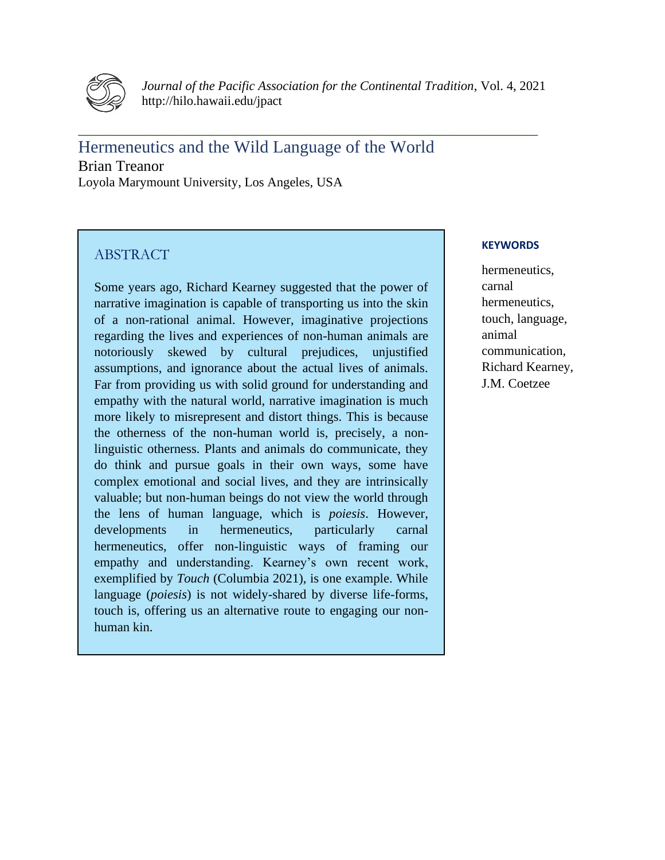

*Journal of the Pacific Association for the Continental Tradition*, Vol. 4, 2021 http://hilo.hawaii.edu/jpact

**\_\_\_\_\_\_\_\_\_\_\_\_\_\_\_\_\_\_\_\_\_\_\_\_\_\_\_\_\_\_\_\_\_\_\_\_\_\_\_\_\_\_\_\_\_\_\_\_\_\_\_\_\_\_\_\_\_\_\_\_\_\_\_\_\_\_\_\_\_\_\_\_\_\_\_\_\_**

Hermeneutics and the Wild Language of the World Brian Treanor Loyola Marymount University, Los Angeles, USA

# **ABSTRACT**

Some years ago, Richard Kearney suggested that the power of narrative imagination is capable of transporting us into the skin of a non-rational animal. However, imaginative projections regarding the lives and experiences of non-human animals are notoriously skewed by cultural prejudices, unjustified assumptions, and ignorance about the actual lives of animals. Far from providing us with solid ground for understanding and empathy with the natural world, narrative imagination is much more likely to misrepresent and distort things. This is because the otherness of the non-human world is, precisely, a nonlinguistic otherness. Plants and animals do communicate, they do think and pursue goals in their own ways, some have complex emotional and social lives, and they are intrinsically valuable; but non-human beings do not view the world through the lens of human language, which is *poiesis*. However, developments in hermeneutics, particularly carnal hermeneutics, offer non-linguistic ways of framing our empathy and understanding. Kearney's own recent work, exemplified by *Touch* (Columbia 2021), is one example. While language (*poiesis*) is not widely-shared by diverse life-forms, touch is, offering us an alternative route to engaging our nonhuman kin.

# **KEYWORDS**

hermeneutics, carnal hermeneutics, touch, language, animal communication, Richard Kearney, J.M. Coetzee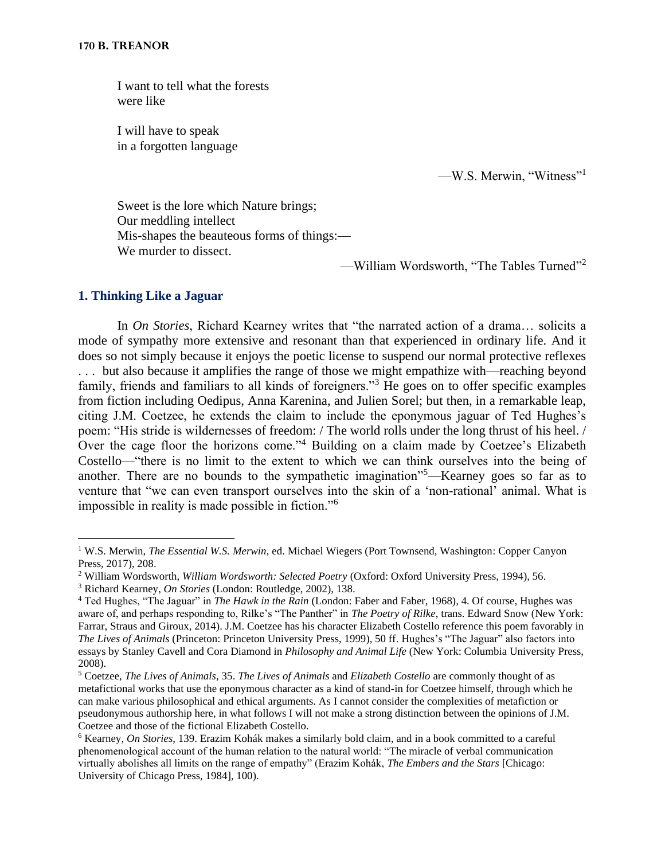I want to tell what the forests were like

I will have to speak in a forgotten language

—W.S. Merwin, "Witness"<sup>1</sup>

Sweet is the lore which Nature brings; Our meddling intellect Mis-shapes the beauteous forms of things:— We murder to dissect.

—William Wordsworth, "The Tables Turned"<sup>2</sup>

# **1. Thinking Like a Jaguar**

In *On Stories*, Richard Kearney writes that "the narrated action of a drama… solicits a mode of sympathy more extensive and resonant than that experienced in ordinary life. And it does so not simply because it enjoys the poetic license to suspend our normal protective reflexes . . . but also because it amplifies the range of those we might empathize with—reaching beyond family, friends and familiars to all kinds of foreigners."<sup>3</sup> He goes on to offer specific examples from fiction including Oedipus, Anna Karenina, and Julien Sorel; but then, in a remarkable leap, citing J.M. Coetzee, he extends the claim to include the eponymous jaguar of Ted Hughes's poem: "His stride is wildernesses of freedom: / The world rolls under the long thrust of his heel. / Over the cage floor the horizons come."<sup>4</sup> Building on a claim made by Coetzee's Elizabeth Costello—"there is no limit to the extent to which we can think ourselves into the being of another. There are no bounds to the sympathetic imagination"<sup>5</sup>—Kearney goes so far as to venture that "we can even transport ourselves into the skin of a 'non-rational' animal. What is impossible in reality is made possible in fiction."<sup>6</sup>

<sup>3</sup> Richard Kearney, *On Stories* (London: Routledge, 2002), 138.

<sup>&</sup>lt;sup>1</sup> W.S. Merwin, *The Essential W.S. Merwin*, ed. Michael Wiegers (Port Townsend, Washington: Copper Canyon Press, 2017), 208.

<sup>2</sup> William Wordsworth, *William Wordsworth: Selected Poetry* (Oxford: Oxford University Press, 1994), 56.

<sup>4</sup> Ted Hughes, "The Jaguar" in *The Hawk in the Rain* (London: Faber and Faber, 1968), 4. Of course, Hughes was aware of, and perhaps responding to, Rilke's "The Panther" in *The Poetry of Rilke*, trans. Edward Snow (New York: Farrar, Straus and Giroux, 2014). J.M. Coetzee has his character Elizabeth Costello reference this poem favorably in *The Lives of Animals* (Princeton: Princeton University Press, 1999), 50 ff. Hughes's "The Jaguar" also factors into essays by Stanley Cavell and Cora Diamond in *Philosophy and Animal Life* (New York: Columbia University Press, 2008).

<sup>5</sup> Coetzee, *The Lives of Animals*, 35. *The Lives of Animals* and *Elizabeth Costello* are commonly thought of as metafictional works that use the eponymous character as a kind of stand-in for Coetzee himself, through which he can make various philosophical and ethical arguments. As I cannot consider the complexities of metafiction or pseudonymous authorship here, in what follows I will not make a strong distinction between the opinions of J.M. Coetzee and those of the fictional Elizabeth Costello.

<sup>6</sup> Kearney, *On Stories*, 139. Erazim Kohák makes a similarly bold claim, and in a book committed to a careful phenomenological account of the human relation to the natural world: "The miracle of verbal communication virtually abolishes all limits on the range of empathy" (Erazim Kohák, *The Embers and the Stars* [Chicago: University of Chicago Press, 1984], 100).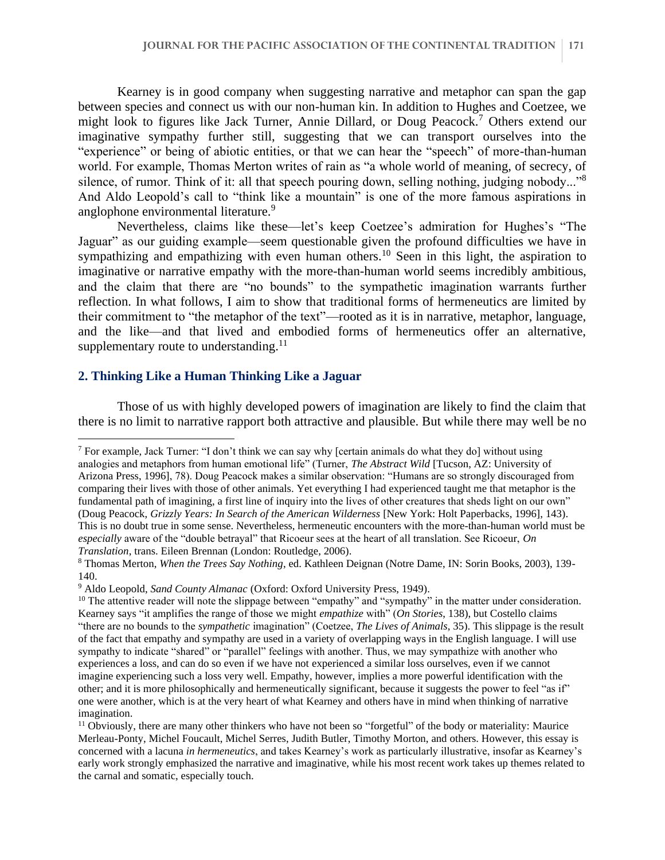Kearney is in good company when suggesting narrative and metaphor can span the gap between species and connect us with our non-human kin. In addition to Hughes and Coetzee, we might look to figures like Jack Turner, Annie Dillard, or Doug Peacock.<sup>7</sup> Others extend our imaginative sympathy further still, suggesting that we can transport ourselves into the "experience" or being of abiotic entities, or that we can hear the "speech" of more-than-human world. For example, Thomas Merton writes of rain as "a whole world of meaning, of secrecy, of silence, of rumor. Think of it: all that speech pouring down, selling nothing, judging nobody..."<sup>8</sup> And Aldo Leopold's call to "think like a mountain" is one of the more famous aspirations in anglophone environmental literature.<sup>9</sup>

Nevertheless, claims like these—let's keep Coetzee's admiration for Hughes's "The Jaguar" as our guiding example—seem questionable given the profound difficulties we have in sympathizing and empathizing with even human others.<sup>10</sup> Seen in this light, the aspiration to imaginative or narrative empathy with the more-than-human world seems incredibly ambitious, and the claim that there are "no bounds" to the sympathetic imagination warrants further reflection. In what follows, I aim to show that traditional forms of hermeneutics are limited by their commitment to "the metaphor of the text"—rooted as it is in narrative, metaphor, language, and the like—and that lived and embodied forms of hermeneutics offer an alternative, supplementary route to understanding. $^{11}$ 

# **2. Thinking Like a Human Thinking Like a Jaguar**

Those of us with highly developed powers of imagination are likely to find the claim that there is no limit to narrative rapport both attractive and plausible. But while there may well be no

<sup>7</sup> For example, Jack Turner: "I don't think we can say why [certain animals do what they do] without using analogies and metaphors from human emotional life" (Turner, *The Abstract Wild* [Tucson, AZ: University of Arizona Press, 1996], 78). Doug Peacock makes a similar observation: "Humans are so strongly discouraged from comparing their lives with those of other animals. Yet everything I had experienced taught me that metaphor is the fundamental path of imagining, a first line of inquiry into the lives of other creatures that sheds light on our own" (Doug Peacock, *Grizzly Years: In Search of the American Wilderness* [New York: Holt Paperbacks, 1996], 143). This is no doubt true in some sense. Nevertheless, hermeneutic encounters with the more-than-human world must be *especially* aware of the "double betrayal" that Ricoeur sees at the heart of all translation. See Ricoeur, *On Translation*, trans. Eileen Brennan (London: Routledge, 2006).

<sup>8</sup> Thomas Merton, *When the Trees Say Nothing*, ed. Kathleen Deignan (Notre Dame, IN: Sorin Books, 2003), 139- 140.

<sup>9</sup> Aldo Leopold, *Sand County Almanac* (Oxford: Oxford University Press, 1949).

<sup>&</sup>lt;sup>10</sup> The attentive reader will note the slippage between "empathy" and "sympathy" in the matter under consideration. Kearney says "it amplifies the range of those we might *empathize* with" (*On Stories*, 138), but Costello claims "there are no bounds to the *sympathetic* imagination" (Coetzee, *The Lives of Animals*, 35). This slippage is the result of the fact that empathy and sympathy are used in a variety of overlapping ways in the English language. I will use sympathy to indicate "shared" or "parallel" feelings with another. Thus, we may sympathize with another who experiences a loss, and can do so even if we have not experienced a similar loss ourselves, even if we cannot imagine experiencing such a loss very well. Empathy, however, implies a more powerful identification with the other; and it is more philosophically and hermeneutically significant, because it suggests the power to feel "as if" one were another, which is at the very heart of what Kearney and others have in mind when thinking of narrative imagination.

 $11$  Obviously, there are many other thinkers who have not been so "forgetful" of the body or materiality: Maurice Merleau-Ponty, Michel Foucault, Michel Serres, Judith Butler, Timothy Morton, and others. However, this essay is concerned with a lacuna *in hermeneutics*, and takes Kearney's work as particularly illustrative, insofar as Kearney's early work strongly emphasized the narrative and imaginative, while his most recent work takes up themes related to the carnal and somatic, especially touch.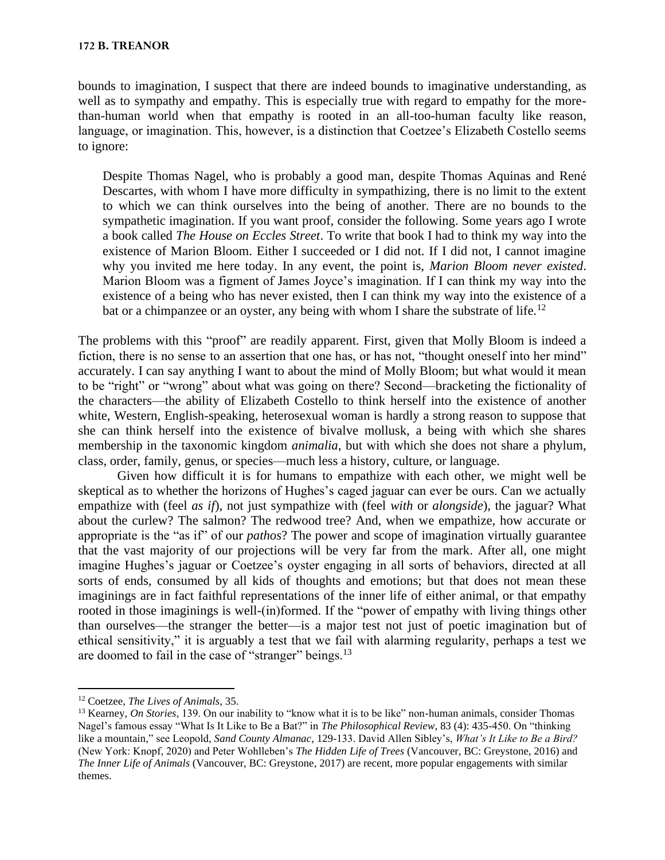bounds to imagination, I suspect that there are indeed bounds to imaginative understanding, as well as to sympathy and empathy. This is especially true with regard to empathy for the morethan-human world when that empathy is rooted in an all-too-human faculty like reason, language, or imagination. This, however, is a distinction that Coetzee's Elizabeth Costello seems to ignore:

Despite Thomas Nagel, who is probably a good man, despite Thomas Aquinas and René Descartes, with whom I have more difficulty in sympathizing, there is no limit to the extent to which we can think ourselves into the being of another. There are no bounds to the sympathetic imagination. If you want proof, consider the following. Some years ago I wrote a book called *The House on Eccles Street*. To write that book I had to think my way into the existence of Marion Bloom. Either I succeeded or I did not. If I did not, I cannot imagine why you invited me here today. In any event, the point is, *Marion Bloom never existed*. Marion Bloom was a figment of James Joyce's imagination. If I can think my way into the existence of a being who has never existed, then I can think my way into the existence of a bat or a chimpanzee or an oyster, any being with whom I share the substrate of life.<sup>12</sup>

The problems with this "proof" are readily apparent. First, given that Molly Bloom is indeed a fiction, there is no sense to an assertion that one has, or has not, "thought oneself into her mind" accurately. I can say anything I want to about the mind of Molly Bloom; but what would it mean to be "right" or "wrong" about what was going on there? Second—bracketing the fictionality of the characters—the ability of Elizabeth Costello to think herself into the existence of another white, Western, English-speaking, heterosexual woman is hardly a strong reason to suppose that she can think herself into the existence of bivalve mollusk, a being with which she shares membership in the taxonomic kingdom *animalia*, but with which she does not share a phylum, class, order, family, genus, or species—much less a history, culture, or language.

Given how difficult it is for humans to empathize with each other, we might well be skeptical as to whether the horizons of Hughes's caged jaguar can ever be ours. Can we actually empathize with (feel *as if*), not just sympathize with (feel *with* or *alongside*), the jaguar? What about the curlew? The salmon? The redwood tree? And, when we empathize, how accurate or appropriate is the "as if" of our *pathos*? The power and scope of imagination virtually guarantee that the vast majority of our projections will be very far from the mark. After all, one might imagine Hughes's jaguar or Coetzee's oyster engaging in all sorts of behaviors, directed at all sorts of ends, consumed by all kids of thoughts and emotions; but that does not mean these imaginings are in fact faithful representations of the inner life of either animal, or that empathy rooted in those imaginings is well-(in)formed. If the "power of empathy with living things other than ourselves—the stranger the better—is a major test not just of poetic imagination but of ethical sensitivity," it is arguably a test that we fail with alarming regularity, perhaps a test we are doomed to fail in the case of "stranger" beings.<sup>13</sup>

<sup>12</sup> Coetzee, *The Lives of Animals*, 35.

<sup>13</sup> Kearney, *On Stories*, 139. On our inability to "know what it is to be like" non-human animals, consider Thomas Nagel's famous essay "What Is It Like to Be a Bat?" in *The Philosophical Review*, 83 (4): 435-450. On "thinking like a mountain," see Leopold, *Sand County Almanac*, 129-133. David Allen Sibley's, *What's It Like to Be a Bird?* (New York: Knopf, 2020) and Peter Wohlleben's *The Hidden Life of Trees* (Vancouver, BC: Greystone, 2016) and *The Inner Life of Animals* (Vancouver, BC: Greystone, 2017) are recent, more popular engagements with similar themes.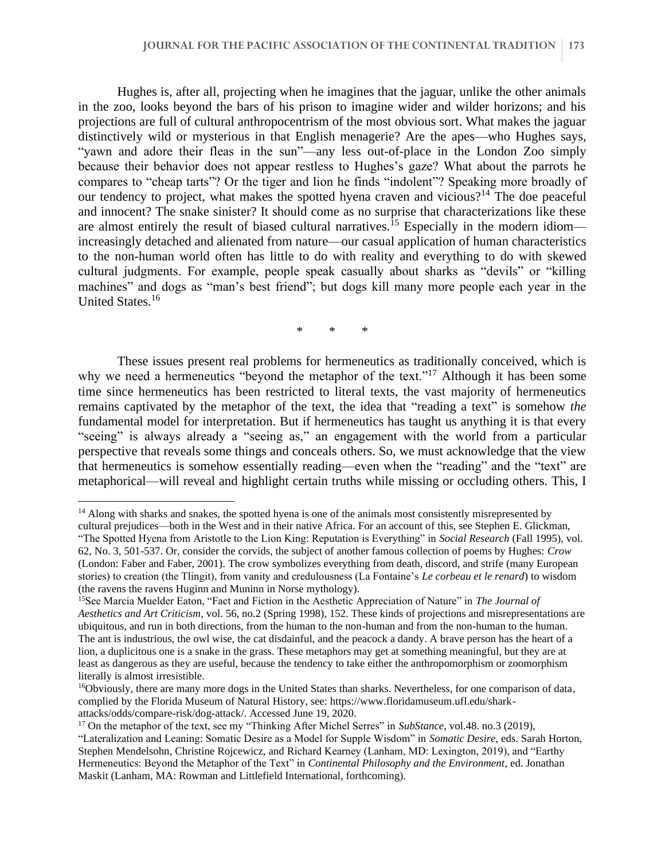Hughes is, after all, projecting when he imagines that the jaguar, unlike the other animals in the zoo, looks beyond the bars of his prison to imagine wider and wilder horizons; and his projections are full of cultural anthropocentrism of the most obvious sort. What makes the jaguar distinctively wild or mysterious in that English menagerie? Are the apes—who Hughes says, "yawn and adore their fleas in the sun"—any less out-of-place in the London Zoo simply because their behavior does not appear restless to Hughes's gaze? What about the parrots he compares to "cheap tarts"? Or the tiger and lion he finds "indolent"? Speaking more broadly of our tendency to project, what makes the spotted hyena craven and vicious?<sup>14</sup> The doe peaceful and innocent? The snake sinister? It should come as no surprise that characterizations like these are almost entirely the result of biased cultural narratives.<sup>15</sup> Especially in the modern idiom increasingly detached and alienated from nature—our casual application of human characteristics to the non-human world often has little to do with reality and everything to do with skewed cultural judgments. For example, people speak casually about sharks as "devils" or "killing machines" and dogs as "man's best friend"; but dogs kill many more people each year in the United States.<sup>16</sup>

\* \* \*

These issues present real problems for hermeneutics as traditionally conceived, which is why we need a hermeneutics "beyond the metaphor of the text."<sup>17</sup> Although it has been some time since hermeneutics has been restricted to literal texts, the vast majority of hermeneutics remains captivated by the metaphor of the text, the idea that "reading a text" is somehow *the* fundamental model for interpretation. But if hermeneutics has taught us anything it is that every "seeing" is always already a "seeing as," an engagement with the world from a particular perspective that reveals some things and conceals others. So, we must acknowledge that the view that hermeneutics is somehow essentially reading—even when the "reading" and the "text" are metaphorical—will reveal and highlight certain truths while missing or occluding others. This, I

<sup>&</sup>lt;sup>14</sup> Along with sharks and snakes, the spotted hyena is one of the animals most consistently misrepresented by cultural prejudices—both in the West and in their native Africa. For an account of this, see Stephen E. Glickman, "The Spotted Hyena from Aristotle to the Lion King: Reputation is Everything" in *Social Research* (Fall 1995), vol. 62, No. 3, 501-537. Or, consider the corvids, the subject of another famous collection of poems by Hughes: *Crow* (London: Faber and Faber, 2001). The crow symbolizes everything from death, discord, and strife (many European stories) to creation (the Tlingit), from vanity and credulousness (La Fontaine's *Le corbeau et le renard*) to wisdom (the ravens the ravens Huginn and Muninn in Norse mythology).

<sup>15</sup>See Marcia Muelder Eaton, "Fact and Fiction in the Aesthetic Appreciation of Nature" in *The Journal of Aesthetics and Art Criticism*, vol. 56, no.2 (Spring 1998), 152. These kinds of projections and misrepresentations are ubiquitous, and run in both directions, from the human to the non-human and from the non-human to the human. The ant is industrious, the owl wise, the cat disdainful, and the peacock a dandy. A brave person has the heart of a lion, a duplicitous one is a snake in the grass. These metaphors may get at something meaningful, but they are at least as dangerous as they are useful, because the tendency to take either the anthropomorphism or zoomorphism literally is almost irresistible.

<sup>&</sup>lt;sup>16</sup>Obviously, there are many more dogs in the United States than sharks. Nevertheless, for one comparison of data, complied by the Florida Museum of Natural History, see: https://www.floridamuseum.ufl.edu/sharkattacks/odds/compare-risk/dog-attack/. Accessed June 19, 2020.

<sup>17</sup> On the metaphor of the text, see my "Thinking After Michel Serres" in *SubStance*, vol.48. no.3 (2019),

<sup>&</sup>quot;Lateralization and Leaning: Somatic Desire as a Model for Supple Wisdom" in *Somatic Desire*, eds. Sarah Horton, Stephen Mendelsohn, Christine Rojcewicz, and Richard Kearney (Lanham, MD: Lexington, 2019), and "Earthy Hermeneutics: Beyond the Metaphor of the Text" in *Continental Philosophy and the Environment*, ed. Jonathan Maskit (Lanham, MA: Rowman and Littlefield International, forthcoming).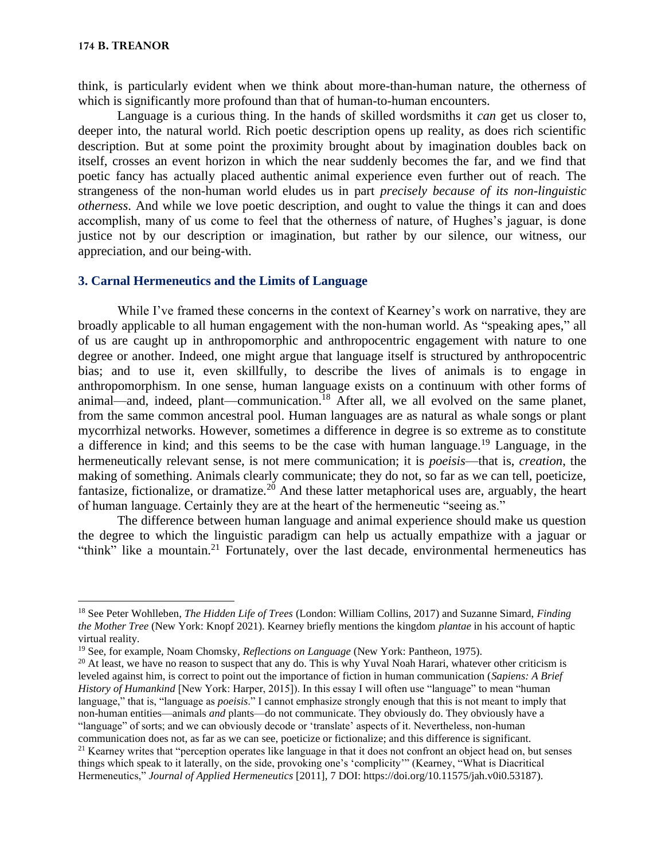think, is particularly evident when we think about more-than-human nature, the otherness of which is significantly more profound than that of human-to-human encounters.

Language is a curious thing. In the hands of skilled wordsmiths it *can* get us closer to, deeper into, the natural world. Rich poetic description opens up reality, as does rich scientific description. But at some point the proximity brought about by imagination doubles back on itself, crosses an event horizon in which the near suddenly becomes the far, and we find that poetic fancy has actually placed authentic animal experience even further out of reach. The strangeness of the non-human world eludes us in part *precisely because of its non-linguistic otherness*. And while we love poetic description, and ought to value the things it can and does accomplish, many of us come to feel that the otherness of nature, of Hughes's jaguar, is done justice not by our description or imagination, but rather by our silence, our witness, our appreciation, and our being-with.

# **3. Carnal Hermeneutics and the Limits of Language**

While I've framed these concerns in the context of Kearney's work on narrative, they are broadly applicable to all human engagement with the non-human world. As "speaking apes," all of us are caught up in anthropomorphic and anthropocentric engagement with nature to one degree or another. Indeed, one might argue that language itself is structured by anthropocentric bias; and to use it, even skillfully, to describe the lives of animals is to engage in anthropomorphism. In one sense, human language exists on a continuum with other forms of animal—and, indeed, plant—communication.<sup>18</sup> After all, we all evolved on the same planet, from the same common ancestral pool. Human languages are as natural as whale songs or plant mycorrhizal networks. However, sometimes a difference in degree is so extreme as to constitute a difference in kind; and this seems to be the case with human language.<sup>19</sup> Language, in the hermeneutically relevant sense, is not mere communication; it is *poeisis*—that is, *creation*, the making of something. Animals clearly communicate; they do not, so far as we can tell, poeticize, fantasize, fictionalize, or dramatize.<sup>20</sup> And these latter metaphorical uses are, arguably, the heart of human language. Certainly they are at the heart of the hermeneutic "seeing as."

The difference between human language and animal experience should make us question the degree to which the linguistic paradigm can help us actually empathize with a jaguar or "think" like a mountain.<sup>21</sup> Fortunately, over the last decade, environmental hermeneutics has

<sup>18</sup> See Peter Wohlleben, *The Hidden Life of Trees* (London: William Collins, 2017) and Suzanne Simard, *Finding the Mother Tree* (New York: Knopf 2021). Kearney briefly mentions the kingdom *plantae* in his account of haptic virtual reality.

<sup>19</sup> See, for example, Noam Chomsky, *Reflections on Language* (New York: Pantheon, 1975).

 $20$  At least, we have no reason to suspect that any do. This is why Yuval Noah Harari, whatever other criticism is leveled against him, is correct to point out the importance of fiction in human communication (*Sapiens: A Brief History of Humankind* [New York: Harper, 2015]). In this essay I will often use "language" to mean "human language," that is, "language as *poeisis*." I cannot emphasize strongly enough that this is not meant to imply that non-human entities—animals *and* plants—do not communicate. They obviously do. They obviously have a "language" of sorts; and we can obviously decode or 'translate' aspects of it. Nevertheless, non-human communication does not, as far as we can see, poeticize or fictionalize; and this difference is significant.

<sup>&</sup>lt;sup>21</sup> Kearney writes that "perception operates like language in that it does not confront an object head on, but senses things which speak to it laterally, on the side, provoking one's 'complicity'" (Kearney, "What is Diacritical Hermeneutics," *Journal of Applied Hermeneutics* [2011], 7 DOI: https://doi.org/10.11575/jah.v0i0.53187).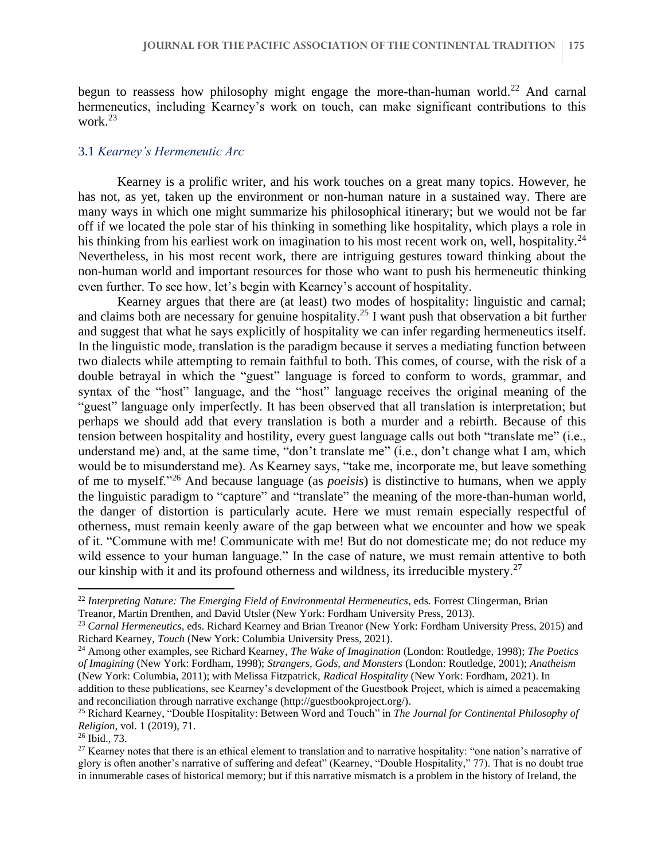begun to reassess how philosophy might engage the more-than-human world.<sup>22</sup> And carnal hermeneutics, including Kearney's work on touch, can make significant contributions to this work.<sup>23</sup>

#### 3.1 *Kearney's Hermeneutic Arc*

Kearney is a prolific writer, and his work touches on a great many topics. However, he has not, as yet, taken up the environment or non-human nature in a sustained way. There are many ways in which one might summarize his philosophical itinerary; but we would not be far off if we located the pole star of his thinking in something like hospitality, which plays a role in his thinking from his earliest work on imagination to his most recent work on, well, hospitality.<sup>24</sup> Nevertheless, in his most recent work, there are intriguing gestures toward thinking about the non-human world and important resources for those who want to push his hermeneutic thinking even further. To see how, let's begin with Kearney's account of hospitality.

Kearney argues that there are (at least) two modes of hospitality: linguistic and carnal; and claims both are necessary for genuine hospitality.<sup>25</sup> I want push that observation a bit further and suggest that what he says explicitly of hospitality we can infer regarding hermeneutics itself. In the linguistic mode, translation is the paradigm because it serves a mediating function between two dialects while attempting to remain faithful to both. This comes, of course, with the risk of a double betrayal in which the "guest" language is forced to conform to words, grammar, and syntax of the "host" language, and the "host" language receives the original meaning of the "guest" language only imperfectly. It has been observed that all translation is interpretation; but perhaps we should add that every translation is both a murder and a rebirth. Because of this tension between hospitality and hostility, every guest language calls out both "translate me" (i.e., understand me) and, at the same time, "don't translate me" (i.e., don't change what I am, which would be to misunderstand me). As Kearney says, "take me, incorporate me, but leave something of me to myself."<sup>26</sup> And because language (as *poeisis*) is distinctive to humans, when we apply the linguistic paradigm to "capture" and "translate" the meaning of the more-than-human world, the danger of distortion is particularly acute. Here we must remain especially respectful of otherness, must remain keenly aware of the gap between what we encounter and how we speak of it. "Commune with me! Communicate with me! But do not domesticate me; do not reduce my wild essence to your human language." In the case of nature, we must remain attentive to both our kinship with it and its profound otherness and wildness, its irreducible mystery.<sup>27</sup>

<sup>22</sup> *Interpreting Nature: The Emerging Field of Environmental Hermeneutics*, eds. Forrest Clingerman, Brian Treanor, Martin Drenthen, and David Utsler (New York: Fordham University Press, 2013).

<sup>23</sup> *Carnal Hermeneutics*, eds. Richard Kearney and Brian Treanor (New York: Fordham University Press, 2015) and Richard Kearney, *Touch* (New York: Columbia University Press, 2021).

<sup>24</sup> Among other examples, see Richard Kearney, *The Wake of Imagination* (London: Routledge, 1998); *The Poetics of Imagining* (New York: Fordham, 1998); *Strangers, Gods, and Monsters* (London: Routledge, 2001); *Anatheism* (New York: Columbia, 2011); with Melissa Fitzpatrick, *Radical Hospitality* (New York: Fordham, 2021). In addition to these publications, see Kearney's development of the Guestbook Project, which is aimed a peacemaking and reconciliation through narrative exchange (http://guestbookproject.org/).

<sup>25</sup> Richard Kearney, "Double Hospitality: Between Word and Touch" in *The Journal for Continental Philosophy of Religion*, vol. 1 (2019), 71.

<sup>26</sup> Ibid., 73.

<sup>&</sup>lt;sup>27</sup> Kearney notes that there is an ethical element to translation and to narrative hospitality: "one nation's narrative of glory is often another's narrative of suffering and defeat" (Kearney, "Double Hospitality," 77). That is no doubt true in innumerable cases of historical memory; but if this narrative mismatch is a problem in the history of Ireland, the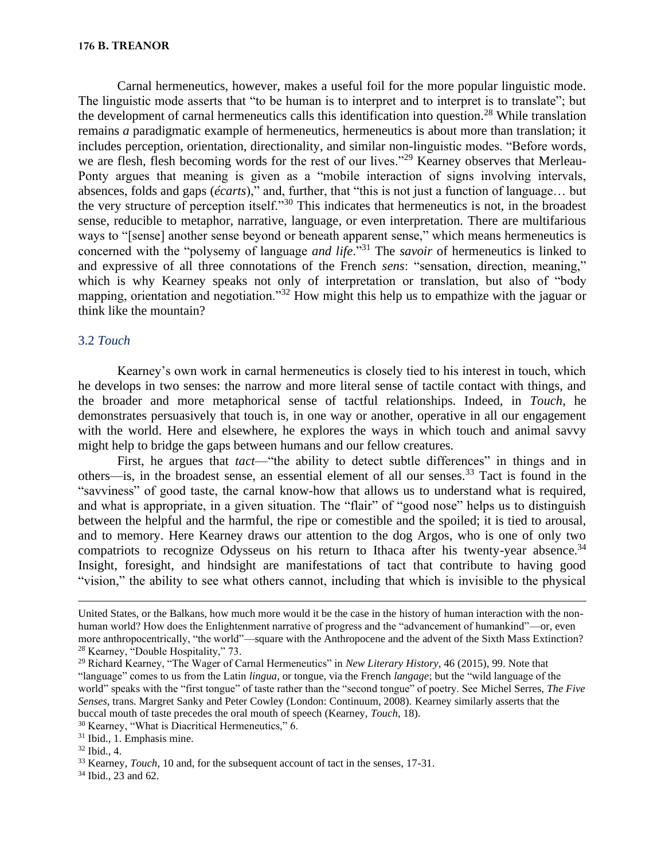Carnal hermeneutics, however, makes a useful foil for the more popular linguistic mode. The linguistic mode asserts that "to be human is to interpret and to interpret is to translate"; but the development of carnal hermeneutics calls this identification into question.<sup>28</sup> While translation remains *a* paradigmatic example of hermeneutics, hermeneutics is about more than translation; it includes perception, orientation, directionality, and similar non-linguistic modes. "Before words, we are flesh, flesh becoming words for the rest of our lives."<sup>29</sup> Kearney observes that Merleau-Ponty argues that meaning is given as a "mobile interaction of signs involving intervals, absences, folds and gaps (*écarts*)," and, further, that "this is not just a function of language… but the very structure of perception itself."<sup>30</sup> This indicates that hermeneutics is not, in the broadest sense, reducible to metaphor, narrative, language, or even interpretation. There are multifarious ways to "[sense] another sense beyond or beneath apparent sense," which means hermeneutics is concerned with the "polysemy of language *and life*."<sup>31</sup> The *savoir* of hermeneutics is linked to and expressive of all three connotations of the French *sens*: "sensation, direction, meaning," which is why Kearney speaks not only of interpretation or translation, but also of "body mapping, orientation and negotiation."<sup>32</sup> How might this help us to empathize with the jaguar or think like the mountain?

# 3.2 *Touch*

Kearney's own work in carnal hermeneutics is closely tied to his interest in touch, which he develops in two senses: the narrow and more literal sense of tactile contact with things, and the broader and more metaphorical sense of tactful relationships. Indeed, in *Touch*, he demonstrates persuasively that touch is, in one way or another, operative in all our engagement with the world. Here and elsewhere, he explores the ways in which touch and animal savvy might help to bridge the gaps between humans and our fellow creatures.

First, he argues that *tact*—"the ability to detect subtle differences" in things and in others—is, in the broadest sense, an essential element of all our senses.<sup>33</sup> Tact is found in the "savviness" of good taste, the carnal know-how that allows us to understand what is required, and what is appropriate, in a given situation. The "flair" of "good nose" helps us to distinguish between the helpful and the harmful, the ripe or comestible and the spoiled; it is tied to arousal, and to memory. Here Kearney draws our attention to the dog Argos, who is one of only two compatriots to recognize Odysseus on his return to Ithaca after his twenty-year absence.<sup>34</sup> Insight, foresight, and hindsight are manifestations of tact that contribute to having good "vision," the ability to see what others cannot, including that which is invisible to the physical

<sup>30</sup> Kearney, "What is Diacritical Hermeneutics," 6.

<sup>34</sup> Ibid., 23 and 62.

United States, or the Balkans, how much more would it be the case in the history of human interaction with the nonhuman world? How does the Enlightenment narrative of progress and the "advancement of humankind"—or, even more anthropocentrically, "the world"—square with the Anthropocene and the advent of the Sixth Mass Extinction? <sup>28</sup> Kearney, "Double Hospitality," 73.

<sup>29</sup> Richard Kearney, "The Wager of Carnal Hermeneutics" in *New Literary History*, 46 (2015), 99. Note that "language" comes to us from the Latin *lingua*, or tongue, via the French *langage*; but the "wild language of the world" speaks with the "first tongue" of taste rather than the "second tongue" of poetry. See Michel Serres, *The Five Senses*, trans. Margret Sanky and Peter Cowley (London: Continuum, 2008). Kearney similarly asserts that the buccal mouth of taste precedes the oral mouth of speech (Kearney, *Touch*, 18).

<sup>31</sup> Ibid., 1. Emphasis mine.

<sup>32</sup> Ibid., 4.

<sup>&</sup>lt;sup>33</sup> Kearney, *Touch*, 10 and, for the subsequent account of tact in the senses, 17-31.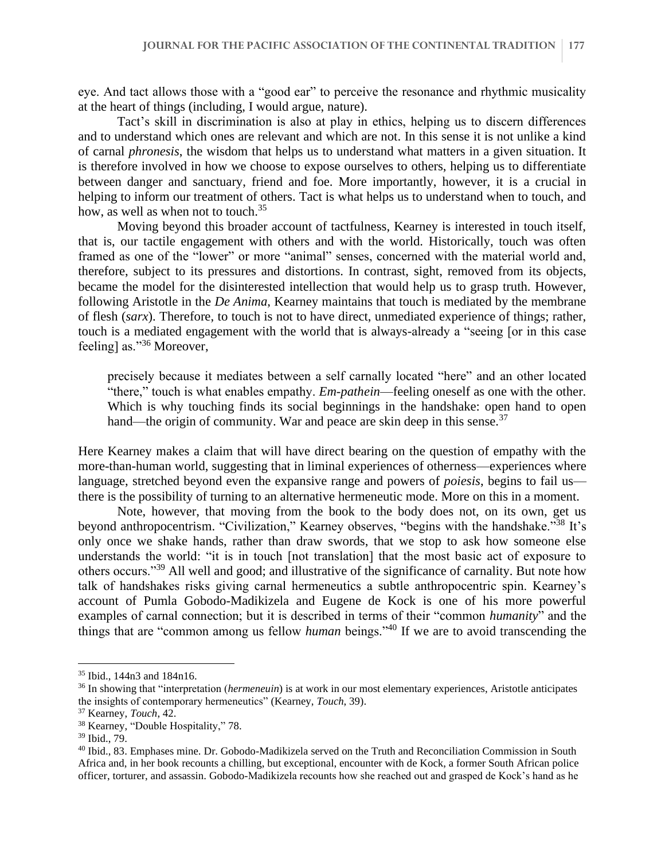eye. And tact allows those with a "good ear" to perceive the resonance and rhythmic musicality at the heart of things (including, I would argue, nature).

Tact's skill in discrimination is also at play in ethics, helping us to discern differences and to understand which ones are relevant and which are not. In this sense it is not unlike a kind of carnal *phronesis*, the wisdom that helps us to understand what matters in a given situation. It is therefore involved in how we choose to expose ourselves to others, helping us to differentiate between danger and sanctuary, friend and foe. More importantly, however, it is a crucial in helping to inform our treatment of others. Tact is what helps us to understand when to touch, and how, as well as when not to touch.<sup>35</sup>

Moving beyond this broader account of tactfulness, Kearney is interested in touch itself, that is, our tactile engagement with others and with the world. Historically, touch was often framed as one of the "lower" or more "animal" senses, concerned with the material world and, therefore, subject to its pressures and distortions. In contrast, sight, removed from its objects, became the model for the disinterested intellection that would help us to grasp truth. However, following Aristotle in the *De Anima*, Kearney maintains that touch is mediated by the membrane of flesh (*sarx*). Therefore, to touch is not to have direct, unmediated experience of things; rather, touch is a mediated engagement with the world that is always-already a "seeing [or in this case feeling] as."<sup>36</sup> Moreover,

precisely because it mediates between a self carnally located "here" and an other located "there," touch is what enables empathy. *Em-pathein*—feeling oneself as one with the other. Which is why touching finds its social beginnings in the handshake: open hand to open hand—the origin of community. War and peace are skin deep in this sense.<sup>37</sup>

Here Kearney makes a claim that will have direct bearing on the question of empathy with the more-than-human world, suggesting that in liminal experiences of otherness—experiences where language, stretched beyond even the expansive range and powers of *poiesis*, begins to fail us there is the possibility of turning to an alternative hermeneutic mode. More on this in a moment.

Note, however, that moving from the book to the body does not, on its own, get us beyond anthropocentrism. "Civilization," Kearney observes, "begins with the handshake."<sup>38</sup> It's only once we shake hands, rather than draw swords, that we stop to ask how someone else understands the world: "it is in touch [not translation] that the most basic act of exposure to others occurs."<sup>39</sup> All well and good; and illustrative of the significance of carnality. But note how talk of handshakes risks giving carnal hermeneutics a subtle anthropocentric spin. Kearney's account of Pumla Gobodo-Madikizela and Eugene de Kock is one of his more powerful examples of carnal connection; but it is described in terms of their "common *humanity*" and the things that are "common among us fellow *human* beings."<sup>40</sup> If we are to avoid transcending the

<sup>35</sup> Ibid., 144n3 and 184n16.

<sup>36</sup> In showing that "interpretation (*hermeneuin*) is at work in our most elementary experiences, Aristotle anticipates the insights of contemporary hermeneutics" (Kearney, *Touch*, 39).

<sup>37</sup> Kearney, *Touch*, 42.

<sup>38</sup> Kearney, "Double Hospitality," 78.

<sup>39</sup> Ibid., 79.

<sup>40</sup> Ibid., 83. Emphases mine. Dr. Gobodo-Madikizela served on the Truth and Reconciliation Commission in South Africa and, in her book recounts a chilling, but exceptional, encounter with de Kock, a former South African police officer, torturer, and assassin. Gobodo-Madikizela recounts how she reached out and grasped de Kock's hand as he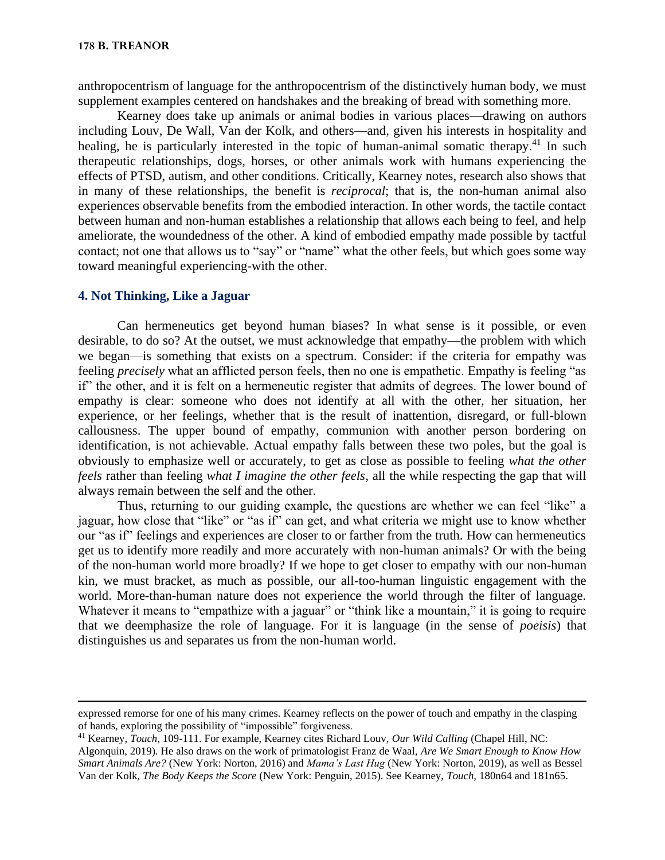anthropocentrism of language for the anthropocentrism of the distinctively human body, we must supplement examples centered on handshakes and the breaking of bread with something more.

Kearney does take up animals or animal bodies in various places—drawing on authors including Louv, De Wall, Van der Kolk, and others—and, given his interests in hospitality and healing, he is particularly interested in the topic of human-animal somatic therapy.<sup>41</sup> In such therapeutic relationships, dogs, horses, or other animals work with humans experiencing the effects of PTSD, autism, and other conditions. Critically, Kearney notes, research also shows that in many of these relationships, the benefit is *reciprocal*; that is, the non-human animal also experiences observable benefits from the embodied interaction. In other words, the tactile contact between human and non-human establishes a relationship that allows each being to feel, and help ameliorate, the woundedness of the other. A kind of embodied empathy made possible by tactful contact; not one that allows us to "say" or "name" what the other feels, but which goes some way toward meaningful experiencing-with the other.

#### **4. Not Thinking, Like a Jaguar**

Can hermeneutics get beyond human biases? In what sense is it possible, or even desirable, to do so? At the outset, we must acknowledge that empathy—the problem with which we began—is something that exists on a spectrum. Consider: if the criteria for empathy was feeling *precisely* what an afflicted person feels, then no one is empathetic. Empathy is feeling "as if" the other, and it is felt on a hermeneutic register that admits of degrees. The lower bound of empathy is clear: someone who does not identify at all with the other, her situation, her experience, or her feelings, whether that is the result of inattention, disregard, or full-blown callousness. The upper bound of empathy, communion with another person bordering on identification, is not achievable. Actual empathy falls between these two poles, but the goal is obviously to emphasize well or accurately, to get as close as possible to feeling *what the other feels* rather than feeling *what I imagine the other feels*, all the while respecting the gap that will always remain between the self and the other.

Thus, returning to our guiding example, the questions are whether we can feel "like" a jaguar, how close that "like" or "as if" can get, and what criteria we might use to know whether our "as if" feelings and experiences are closer to or farther from the truth. How can hermeneutics get us to identify more readily and more accurately with non-human animals? Or with the being of the non-human world more broadly? If we hope to get closer to empathy with our non-human kin, we must bracket, as much as possible, our all-too-human linguistic engagement with the world. More-than-human nature does not experience the world through the filter of language. Whatever it means to "empathize with a jaguar" or "think like a mountain," it is going to require that we deemphasize the role of language. For it is language (in the sense of *poeisis*) that distinguishes us and separates us from the non-human world.

expressed remorse for one of his many crimes. Kearney reflects on the power of touch and empathy in the clasping of hands, exploring the possibility of "impossible" forgiveness.

<sup>41</sup> Kearney, *Touch*, 109-111. For example, Kearney cites Richard Louv, *Our Wild Calling* (Chapel Hill, NC:

Algonquin, 2019). He also draws on the work of primatologist Franz de Waal, *Are We Smart Enough to Know How Smart Animals Are?* (New York: Norton, 2016) and *Mama's Last Hug* (New York: Norton, 2019), as well as Bessel Van der Kolk, *The Body Keeps the Score* (New York: Penguin, 2015). See Kearney, *Touch*, 180n64 and 181n65.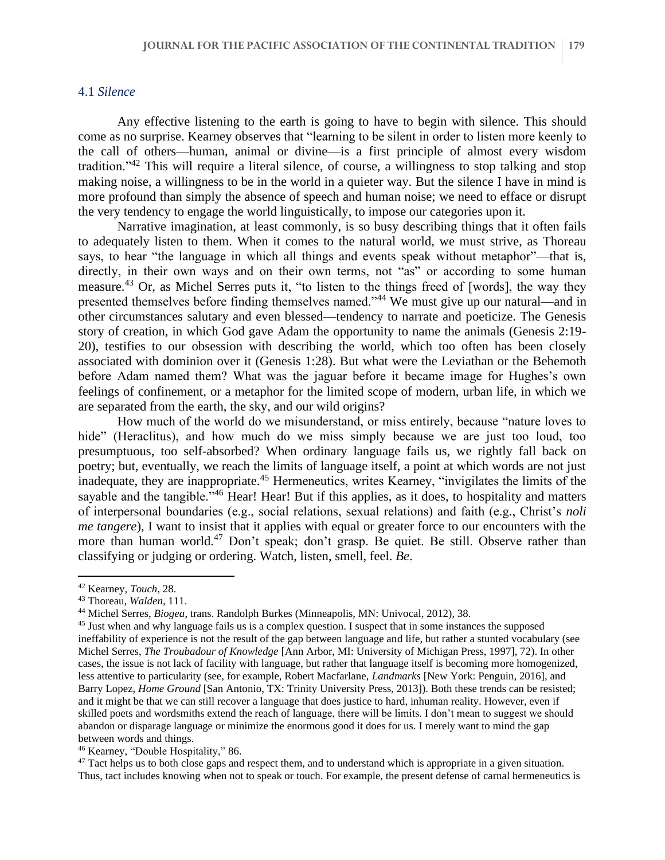# 4.1 *Silence*

Any effective listening to the earth is going to have to begin with silence. This should come as no surprise. Kearney observes that "learning to be silent in order to listen more keenly to the call of others—human, animal or divine—is a first principle of almost every wisdom tradition."<sup>42</sup> This will require a literal silence, of course, a willingness to stop talking and stop making noise, a willingness to be in the world in a quieter way. But the silence I have in mind is more profound than simply the absence of speech and human noise; we need to efface or disrupt the very tendency to engage the world linguistically, to impose our categories upon it.

Narrative imagination, at least commonly, is so busy describing things that it often fails to adequately listen to them. When it comes to the natural world, we must strive, as Thoreau says, to hear "the language in which all things and events speak without metaphor"—that is, directly, in their own ways and on their own terms, not "as" or according to some human measure.<sup>43</sup> Or, as Michel Serres puts it, "to listen to the things freed of [words], the way they presented themselves before finding themselves named."<sup>44</sup> We must give up our natural—and in other circumstances salutary and even blessed—tendency to narrate and poeticize. The Genesis story of creation, in which God gave Adam the opportunity to name the animals (Genesis 2:19- 20), testifies to our obsession with describing the world, which too often has been closely associated with dominion over it (Genesis 1:28). But what were the Leviathan or the Behemoth before Adam named them? What was the jaguar before it became image for Hughes's own feelings of confinement, or a metaphor for the limited scope of modern, urban life, in which we are separated from the earth, the sky, and our wild origins?

How much of the world do we misunderstand, or miss entirely, because "nature loves to hide" (Heraclitus), and how much do we miss simply because we are just too loud, too presumptuous, too self-absorbed? When ordinary language fails us, we rightly fall back on poetry; but, eventually, we reach the limits of language itself, a point at which words are not just inadequate, they are inappropriate.<sup>45</sup> Hermeneutics, writes Kearney, "invigilates the limits of the sayable and the tangible."<sup>46</sup> Hear! Hear! But if this applies, as it does, to hospitality and matters of interpersonal boundaries (e.g., social relations, sexual relations) and faith (e.g., Christ's *noli me tangere*), I want to insist that it applies with equal or greater force to our encounters with the more than human world.<sup>47</sup> Don't speak; don't grasp. Be quiet. Be still. Observe rather than classifying or judging or ordering. Watch, listen, smell, feel. *Be*.

<sup>42</sup> Kearney, *Touch*, 28.

<sup>43</sup> Thoreau, *Walden*, 111.

<sup>44</sup> Michel Serres, *Biogea*, trans. Randolph Burkes (Minneapolis, MN: Univocal, 2012), 38.

<sup>&</sup>lt;sup>45</sup> Just when and why language fails us is a complex question. I suspect that in some instances the supposed ineffability of experience is not the result of the gap between language and life, but rather a stunted vocabulary (see Michel Serres, *The Troubadour of Knowledge* [Ann Arbor, MI: University of Michigan Press, 1997], 72). In other cases, the issue is not lack of facility with language, but rather that language itself is becoming more homogenized, less attentive to particularity (see, for example, Robert Macfarlane, *Landmarks* [New York: Penguin, 2016], and Barry Lopez, *Home Ground* [San Antonio, TX: Trinity University Press, 2013]). Both these trends can be resisted; and it might be that we can still recover a language that does justice to hard, inhuman reality. However, even if skilled poets and wordsmiths extend the reach of language, there will be limits. I don't mean to suggest we should abandon or disparage language or minimize the enormous good it does for us. I merely want to mind the gap between words and things.

<sup>46</sup> Kearney, "Double Hospitality," 86.

 $47$  Tact helps us to both close gaps and respect them, and to understand which is appropriate in a given situation. Thus, tact includes knowing when not to speak or touch. For example, the present defense of carnal hermeneutics is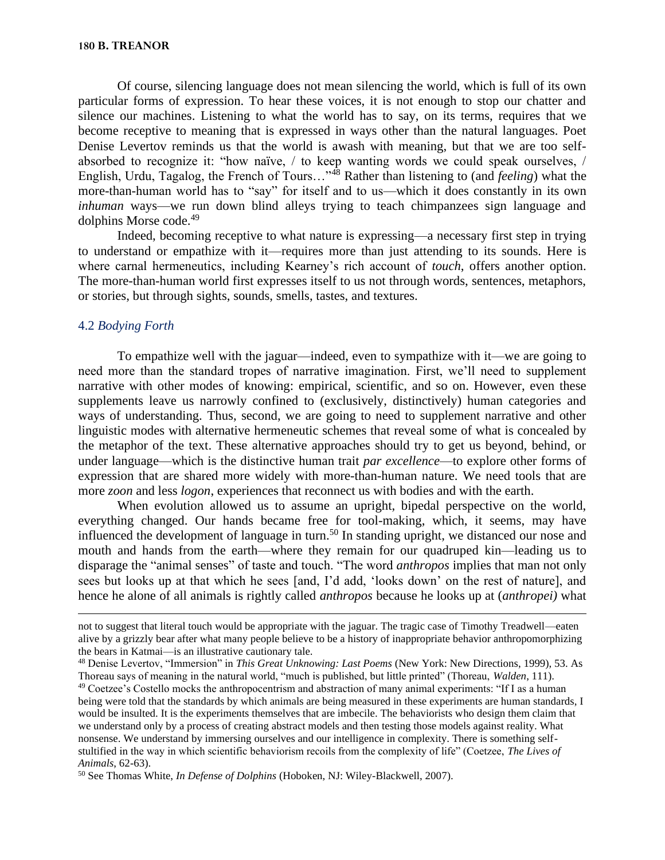Of course, silencing language does not mean silencing the world, which is full of its own particular forms of expression. To hear these voices, it is not enough to stop our chatter and silence our machines. Listening to what the world has to say, on its terms, requires that we become receptive to meaning that is expressed in ways other than the natural languages. Poet Denise Levertov reminds us that the world is awash with meaning, but that we are too selfabsorbed to recognize it: "how naïve, / to keep wanting words we could speak ourselves, / English, Urdu, Tagalog, the French of Tours…"<sup>48</sup> Rather than listening to (and *feeling*) what the more-than-human world has to "say" for itself and to us—which it does constantly in its own *inhuman* ways—we run down blind alleys trying to teach chimpanzees sign language and dolphins Morse code.<sup>49</sup>

Indeed, becoming receptive to what nature is expressing—a necessary first step in trying to understand or empathize with it—requires more than just attending to its sounds. Here is where carnal hermeneutics, including Kearney's rich account of *touch*, offers another option. The more-than-human world first expresses itself to us not through words, sentences, metaphors, or stories, but through sights, sounds, smells, tastes, and textures.

# 4.2 *Bodying Forth*

To empathize well with the jaguar—indeed, even to sympathize with it—we are going to need more than the standard tropes of narrative imagination. First, we'll need to supplement narrative with other modes of knowing: empirical, scientific, and so on. However, even these supplements leave us narrowly confined to (exclusively, distinctively) human categories and ways of understanding. Thus, second, we are going to need to supplement narrative and other linguistic modes with alternative hermeneutic schemes that reveal some of what is concealed by the metaphor of the text. These alternative approaches should try to get us beyond, behind, or under language—which is the distinctive human trait *par excellence*—to explore other forms of expression that are shared more widely with more-than-human nature. We need tools that are more *zoon* and less *logon*, experiences that reconnect us with bodies and with the earth.

When evolution allowed us to assume an upright, bipedal perspective on the world, everything changed. Our hands became free for tool-making, which, it seems, may have influenced the development of language in turn.<sup>50</sup> In standing upright, we distanced our nose and mouth and hands from the earth—where they remain for our quadruped kin—leading us to disparage the "animal senses" of taste and touch. "The word *anthropos* implies that man not only sees but looks up at that which he sees [and, I'd add, 'looks down' on the rest of nature], and hence he alone of all animals is rightly called *anthropos* because he looks up at (*anthropei)* what

not to suggest that literal touch would be appropriate with the jaguar. The tragic case of Timothy Treadwell—eaten alive by a grizzly bear after what many people believe to be a history of inappropriate behavior anthropomorphizing the bears in Katmai—is an illustrative cautionary tale.

<sup>48</sup> Denise Levertov, "Immersion" in *This Great Unknowing: Last Poems* (New York: New Directions, 1999), 53. As Thoreau says of meaning in the natural world, "much is published, but little printed" (Thoreau, *Walden*, 111).

<sup>49</sup> Coetzee's Costello mocks the anthropocentrism and abstraction of many animal experiments: "If I as a human being were told that the standards by which animals are being measured in these experiments are human standards, I would be insulted. It is the experiments themselves that are imbecile. The behaviorists who design them claim that we understand only by a process of creating abstract models and then testing those models against reality. What nonsense. We understand by immersing ourselves and our intelligence in complexity. There is something selfstultified in the way in which scientific behaviorism recoils from the complexity of life" (Coetzee, *The Lives of Animals*, 62-63).

<sup>50</sup> See Thomas White, *In Defense of Dolphins* (Hoboken, NJ: Wiley-Blackwell, 2007).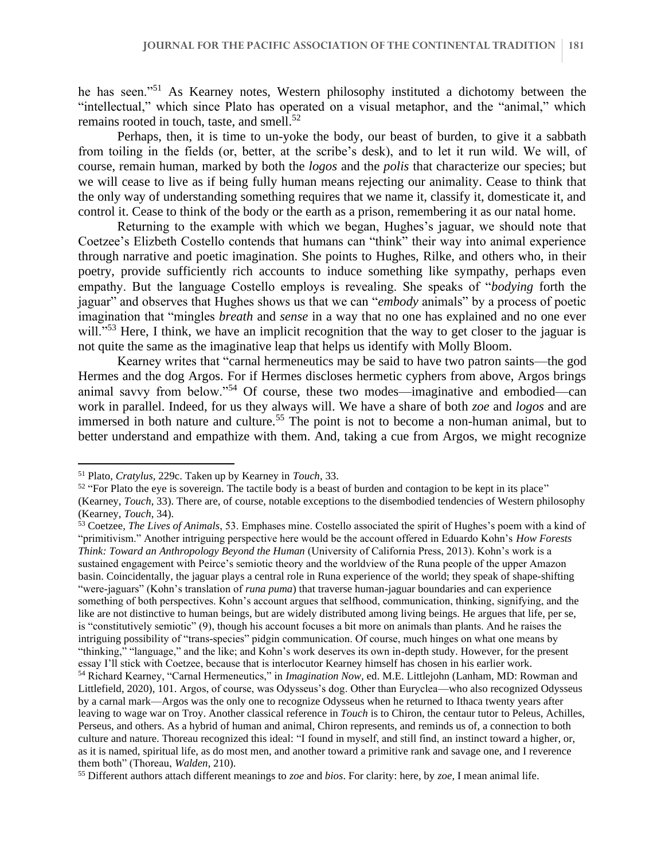he has seen."<sup>51</sup> As Kearney notes, Western philosophy instituted a dichotomy between the "intellectual," which since Plato has operated on a visual metaphor, and the "animal," which remains rooted in touch, taste, and smell. $52$ 

Perhaps, then, it is time to un-yoke the body, our beast of burden, to give it a sabbath from toiling in the fields (or, better, at the scribe's desk), and to let it run wild. We will, of course, remain human, marked by both the *logos* and the *polis* that characterize our species; but we will cease to live as if being fully human means rejecting our animality. Cease to think that the only way of understanding something requires that we name it, classify it, domesticate it, and control it. Cease to think of the body or the earth as a prison, remembering it as our natal home.

Returning to the example with which we began, Hughes's jaguar, we should note that Coetzee's Elizbeth Costello contends that humans can "think" their way into animal experience through narrative and poetic imagination. She points to Hughes, Rilke, and others who, in their poetry, provide sufficiently rich accounts to induce something like sympathy, perhaps even empathy. But the language Costello employs is revealing. She speaks of "*bodying* forth the jaguar" and observes that Hughes shows us that we can "*embody* animals" by a process of poetic imagination that "mingles *breath* and *sense* in a way that no one has explained and no one ever will."<sup>53</sup> Here, I think, we have an implicit recognition that the way to get closer to the jaguar is not quite the same as the imaginative leap that helps us identify with Molly Bloom.

Kearney writes that "carnal hermeneutics may be said to have two patron saints—the god Hermes and the dog Argos. For if Hermes discloses hermetic cyphers from above, Argos brings animal savvy from below."<sup>54</sup> Of course, these two modes—imaginative and embodied—can work in parallel. Indeed, for us they always will. We have a share of both *zoe* and *logos* and are immersed in both nature and culture.<sup>55</sup> The point is not to become a non-human animal, but to better understand and empathize with them. And, taking a cue from Argos, we might recognize

<sup>51</sup> Plato, *Cratylus,* 229c. Taken up by Kearney in *Touch*, 33.

 $52$  "For Plato the eye is sovereign. The tactile body is a beast of burden and contagion to be kept in its place" (Kearney, *Touch*, 33). There are, of course, notable exceptions to the disembodied tendencies of Western philosophy (Kearney, *Touch*, 34).

<sup>53</sup> Coetzee, *The Lives of Animals*, 53. Emphases mine. Costello associated the spirit of Hughes's poem with a kind of "primitivism." Another intriguing perspective here would be the account offered in Eduardo Kohn's *How Forests Think: Toward an Anthropology Beyond the Human* (University of California Press, 2013). Kohn's work is a sustained engagement with Peirce's semiotic theory and the worldview of the Runa people of the upper Amazon basin. Coincidentally, the jaguar plays a central role in Runa experience of the world; they speak of shape-shifting "were-jaguars" (Kohn's translation of *runa puma*) that traverse human-jaguar boundaries and can experience something of both perspectives. Kohn's account argues that selfhood, communication, thinking, signifying, and the like are not distinctive to human beings, but are widely distributed among living beings. He argues that life, per se, is "constitutively semiotic" (9), though his account focuses a bit more on animals than plants. And he raises the intriguing possibility of "trans-species" pidgin communication. Of course, much hinges on what one means by "thinking," "language," and the like; and Kohn's work deserves its own in-depth study. However, for the present essay I'll stick with Coetzee, because that is interlocutor Kearney himself has chosen in his earlier work. <sup>54</sup> Richard Kearney, "Carnal Hermeneutics," in *Imagination Now*, ed. M.E. Littlejohn (Lanham, MD: Rowman and Littlefield, 2020), 101. Argos, of course, was Odysseus's dog. Other than Euryclea—who also recognized Odysseus by a carnal mark—Argos was the only one to recognize Odysseus when he returned to Ithaca twenty years after leaving to wage war on Troy. Another classical reference in *Touch* is to Chiron, the centaur tutor to Peleus, Achilles, Perseus, and others. As a hybrid of human and animal, Chiron represents, and reminds us of, a connection to both culture and nature. Thoreau recognized this ideal: "I found in myself, and still find, an instinct toward a higher, or, as it is named, spiritual life, as do most men, and another toward a primitive rank and savage one, and I reverence them both" (Thoreau, *Walden*, 210).

<sup>55</sup> Different authors attach different meanings to *zoe* and *bios*. For clarity: here, by *zoe*, I mean animal life.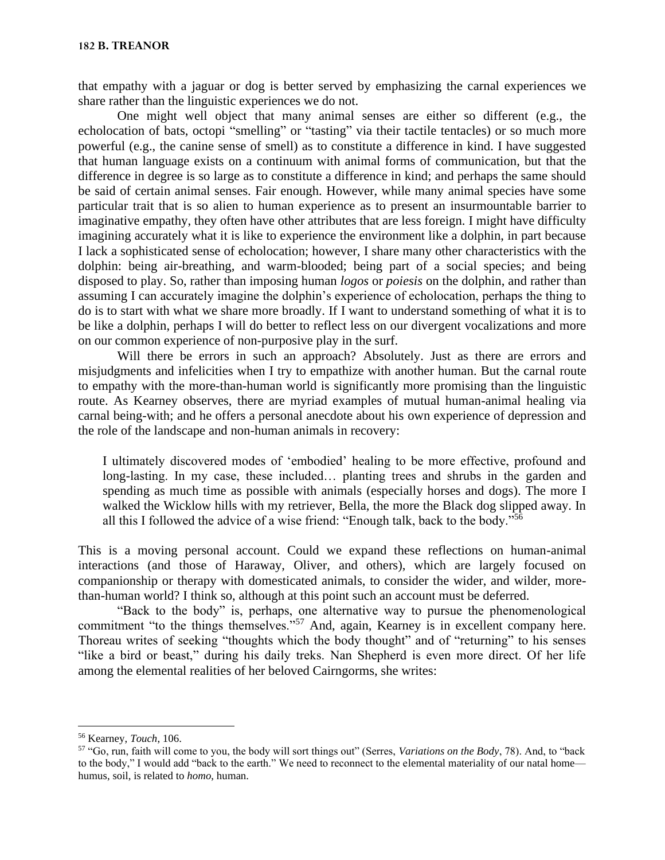that empathy with a jaguar or dog is better served by emphasizing the carnal experiences we share rather than the linguistic experiences we do not.

One might well object that many animal senses are either so different (e.g., the echolocation of bats, octopi "smelling" or "tasting" via their tactile tentacles) or so much more powerful (e.g., the canine sense of smell) as to constitute a difference in kind. I have suggested that human language exists on a continuum with animal forms of communication, but that the difference in degree is so large as to constitute a difference in kind; and perhaps the same should be said of certain animal senses. Fair enough. However, while many animal species have some particular trait that is so alien to human experience as to present an insurmountable barrier to imaginative empathy, they often have other attributes that are less foreign. I might have difficulty imagining accurately what it is like to experience the environment like a dolphin, in part because I lack a sophisticated sense of echolocation; however, I share many other characteristics with the dolphin: being air-breathing, and warm-blooded; being part of a social species; and being disposed to play. So, rather than imposing human *logos* or *poiesis* on the dolphin, and rather than assuming I can accurately imagine the dolphin's experience of echolocation, perhaps the thing to do is to start with what we share more broadly. If I want to understand something of what it is to be like a dolphin, perhaps I will do better to reflect less on our divergent vocalizations and more on our common experience of non-purposive play in the surf.

Will there be errors in such an approach? Absolutely. Just as there are errors and misjudgments and infelicities when I try to empathize with another human. But the carnal route to empathy with the more-than-human world is significantly more promising than the linguistic route. As Kearney observes, there are myriad examples of mutual human-animal healing via carnal being-with; and he offers a personal anecdote about his own experience of depression and the role of the landscape and non-human animals in recovery:

I ultimately discovered modes of 'embodied' healing to be more effective, profound and long-lasting. In my case, these included… planting trees and shrubs in the garden and spending as much time as possible with animals (especially horses and dogs). The more I walked the Wicklow hills with my retriever, Bella, the more the Black dog slipped away. In all this I followed the advice of a wise friend: "Enough talk, back to the body."<sup>56</sup>

This is a moving personal account. Could we expand these reflections on human-animal interactions (and those of Haraway, Oliver, and others), which are largely focused on companionship or therapy with domesticated animals, to consider the wider, and wilder, morethan-human world? I think so, although at this point such an account must be deferred.

"Back to the body" is, perhaps, one alternative way to pursue the phenomenological commitment "to the things themselves."<sup>57</sup> And, again, Kearney is in excellent company here. Thoreau writes of seeking "thoughts which the body thought" and of "returning" to his senses "like a bird or beast," during his daily treks. Nan Shepherd is even more direct. Of her life among the elemental realities of her beloved Cairngorms, she writes:

<sup>56</sup> Kearney, *Touch*, 106.

<sup>57</sup> "Go, run, faith will come to you, the body will sort things out" (Serres, *Variations on the Body*, 78). And, to "back to the body," I would add "back to the earth." We need to reconnect to the elemental materiality of our natal home humus, soil, is related to *homo*, human.